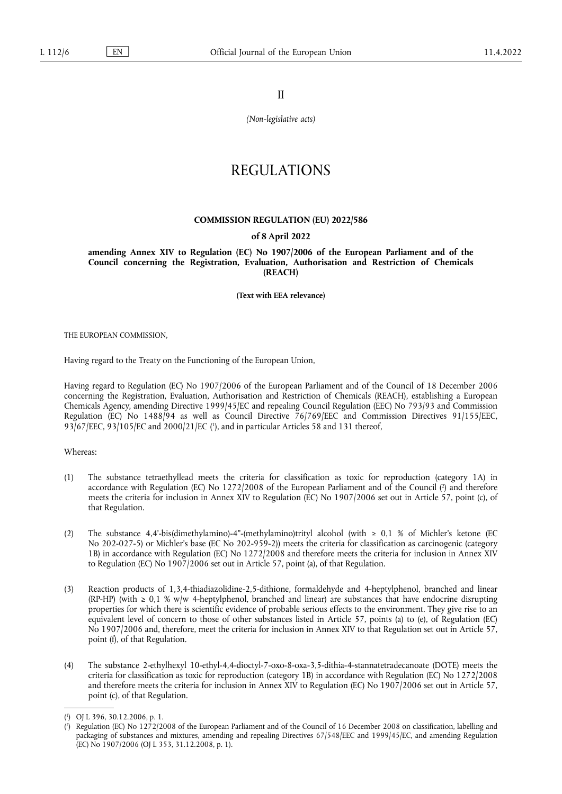II

*(Non-legislative acts)*

## REGULATIONS

## **COMMISSION REGULATION (EU) 2022/586**

## **of 8 April 2022**

**amending Annex XIV to Regulation (EC) No 1907/2006 of the European Parliament and of the Council concerning the Registration, Evaluation, Authorisation and Restriction of Chemicals (REACH)** 

**(Text with EEA relevance)** 

THE EUROPEAN COMMISSION,

Having regard to the Treaty on the Functioning of the European Union,

Having regard to Regulation (EC) No 1907/2006 of the European Parliament and of the Council of 18 December 2006 concerning the Registration, Evaluation, Authorisation and Restriction of Chemicals (REACH), establishing a European Chemicals Agency, amending Directive 1999/45/EC and repealing Council Regulation (EEC) No 793/93 and Commission Regulation (EC) No 1488/94 as well as Council Directive 76/769/EEC and Commission Directives 91/155/EEC, 93/67/EEC, 93/105/EC and 2000/21/EC [\(](#page-0-0)<sup>1</sup>), and in particular Articles 58 and 131 thereof,

<span id="page-0-2"></span>Whereas:

- <span id="page-0-3"></span>(1) The substance tetraethyllead meets the criteria for classification as toxic for reproduction (category 1A) in accordance with Regulation [\(](#page-0-1)EC) No 1272/2008 of the European Parliament and of the Council (?) and therefore meets the criteria for inclusion in Annex XIV to Regulation (EC) No 1907/2006 set out in Article 57, point (c), of that Regulation.
- (2) The substance 4,4'-bis(dimethylamino)-4"-(methylamino)trityl alcohol (with ≥ 0,1 % of Michler's ketone (EC No 202-027-5) or Michler's base (EC No 202-959-2)) meets the criteria for classification as carcinogenic (category 1B) in accordance with Regulation (EC) No 1272/2008 and therefore meets the criteria for inclusion in Annex XIV to Regulation (EC) No 1907/2006 set out in Article 57, point (a), of that Regulation.
- (3) Reaction products of 1,3,4-thiadiazolidine-2,5-dithione, formaldehyde and 4-heptylphenol, branched and linear (RP-HP) (with  $\geq 0.1$  % w/w 4-heptylphenol, branched and linear) are substances that have endocrine disrupting properties for which there is scientific evidence of probable serious effects to the environment. They give rise to an equivalent level of concern to those of other substances listed in Article 57, points (a) to (e), of Regulation (EC) No 1907/2006 and, therefore, meet the criteria for inclusion in Annex XIV to that Regulation set out in Article 57, point (f), of that Regulation.
- (4) The substance 2-ethylhexyl 10-ethyl-4,4-dioctyl-7-oxo-8-oxa-3,5-dithia-4-stannatetradecanoate (DOTE) meets the criteria for classification as toxic for reproduction (category 1B) in accordance with Regulation (EC) No 1272/2008 and therefore meets the criteria for inclusion in Annex XIV to Regulation (EC) No 1907/2006 set out in Article 57, point (c), of that Regulation.

<span id="page-0-0"></span>[<sup>\(</sup>](#page-0-2) 1 ) OJ L 396, 30.12.2006, p. 1.

<span id="page-0-1"></span>[<sup>\(</sup>](#page-0-3) 2 ) Regulation (EC) No 1272/2008 of the European Parliament and of the Council of 16 December 2008 on classification, labelling and packaging of substances and mixtures, amending and repealing Directives 67/548/EEC and 1999/45/EC, and amending Regulation (EC) No 1907/2006 (OJ L 353, 31.12.2008, p. 1).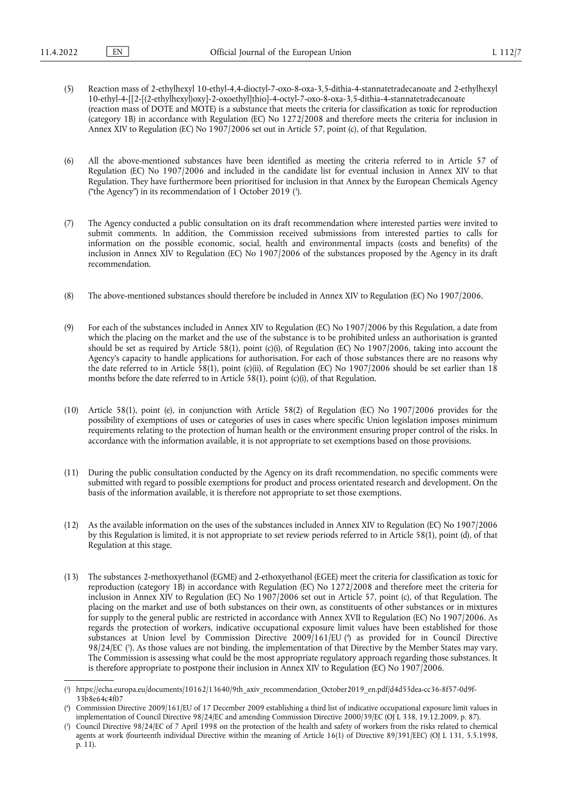- (5) Reaction mass of 2-ethylhexyl 10-ethyl-4,4-dioctyl-7-oxo-8-oxa-3,5-dithia-4-stannatetradecanoate and 2-ethylhexyl 10-ethyl-4-[[2-[(2-ethylhexyl)oxy]-2-oxoethyl]thio]-4-octyl-7-oxo-8-oxa-3,5-dithia-4-stannatetradecanoate (reaction mass of DOTE and MOTE) is a substance that meets the criteria for classification as toxic for reproduction (category 1B) in accordance with Regulation (EC) No 1272/2008 and therefore meets the criteria for inclusion in Annex XIV to Regulation (EC) No 1907/2006 set out in Article 57, point (c), of that Regulation.
- <span id="page-1-3"></span>(6) All the above-mentioned substances have been identified as meeting the criteria referred to in Article 57 of Regulation (EC) No 1907/2006 and included in the candidate list for eventual inclusion in Annex XIV to that Regulation. They have furthermore been prioritised for inclusion in that Annex by the European Chemicals Agency ("the Agency") in its recommendation of 1 October 2019 ( 3 [\).](#page-1-0)
- (7) The Agency conducted a public consultation on its draft recommendation where interested parties were invited to submit comments. In addition, the Commission received submissions from interested parties to calls for information on the possible economic, social, health and environmental impacts (costs and benefits) of the inclusion in Annex XIV to Regulation (EC) No 1907/2006 of the substances proposed by the Agency in its draft recommendation.
- (8) The above-mentioned substances should therefore be included in Annex XIV to Regulation (EC) No 1907/2006.
- (9) For each of the substances included in Annex XIV to Regulation (EC) No 1907/2006 by this Regulation, a date from which the placing on the market and the use of the substance is to be prohibited unless an authorisation is granted should be set as required by Article 58(1), point (c)(i), of Regulation (EC) No 1907/2006, taking into account the Agency's capacity to handle applications for authorisation. For each of those substances there are no reasons why the date referred to in Article 58(1), point (c)(ii), of Regulation (EC) No 1907/2006 should be set earlier than 18 months before the date referred to in Article 58(1), point (c)(i), of that Regulation.
- (10) Article 58(1), point (e), in conjunction with Article 58(2) of Regulation (EC) No 1907/2006 provides for the possibility of exemptions of uses or categories of uses in cases where specific Union legislation imposes minimum requirements relating to the protection of human health or the environment ensuring proper control of the risks. In accordance with the information available, it is not appropriate to set exemptions based on those provisions.
- (11) During the public consultation conducted by the Agency on its draft recommendation, no specific comments were submitted with regard to possible exemptions for product and process orientated research and development. On the basis of the information available, it is therefore not appropriate to set those exemptions.
- (12) As the available information on the uses of the substances included in Annex XIV to Regulation (EC) No 1907/2006 by this Regulation is limited, it is not appropriate to set review periods referred to in Article 58(1), point (d), of that Regulation at this stage.
- (13) The substances 2-methoxyethanol (EGME) and 2-ethoxyethanol (EGEE) meet the criteria for classification as toxic for reproduction (category 1B) in accordance with Regulation (EC) No 1272/2008 and therefore meet the criteria for inclusion in Annex XIV to Regulation (EC) No 1907/2006 set out in Article 57, point (c), of that Regulation. The placing on the market and use of both substances on their own, as constituents of other substances or in mixtures for supply to the general public are restricted in accordance with Annex XVII to Regulation (EC) No 1907/2006. As regards the protection of workers, indicative occupational exposure limit values have been established for those substances at Union level by Commission Directive 2009/161/EU [\(](#page-1-1) 4 ) as provided for in Council Directive 98/24/EC [\(](#page-1-2) 5 ). As those values are not binding, the implementation of that Directive by the Member States may vary. The Commission is assessing what could be the most appropriate regulatory approach regarding those substances. It is therefore appropriate to postpone their inclusion in Annex XIV to Regulation (EC) No 1907/2006.

<span id="page-1-5"></span><span id="page-1-4"></span><span id="page-1-0"></span>[<sup>\(</sup>](#page-1-3) 3 ) [https://echa.europa.eu/documents/10162/13640/9th\\_axiv\\_recommendation\\_October2019\\_en.pdf/d4d55dea-cc36-8f57-0d9f-](https://echa.europa.eu/documents/10162/13640/9th_axiv_recommendation_October2019_en.pdf/d4d55dea-cc36-8f57-0d9f-33b8e64c4f07)[33b8e64c4f07](https://echa.europa.eu/documents/10162/13640/9th_axiv_recommendation_October2019_en.pdf/d4d55dea-cc36-8f57-0d9f-33b8e64c4f07)

<span id="page-1-1"></span>[<sup>\(</sup>](#page-1-4) 4 ) Commission Directive 2009/161/EU of 17 December 2009 establishing a third list of indicative occupational exposure limit values in implementation of Council Directive 98/24/EC and amending Commission Directive 2000/39/EC (OJ L 338, 19.12.2009, p. 87).

<span id="page-1-2"></span>[<sup>\(</sup>](#page-1-5) 5 ) Council Directive 98/24/EC of 7 April 1998 on the protection of the health and safety of workers from the risks related to chemical agents at work (fourteenth individual Directive within the meaning of Article 16(1) of Directive 89/391/EEC) (OJ L 131, 5.5.1998, p. 11).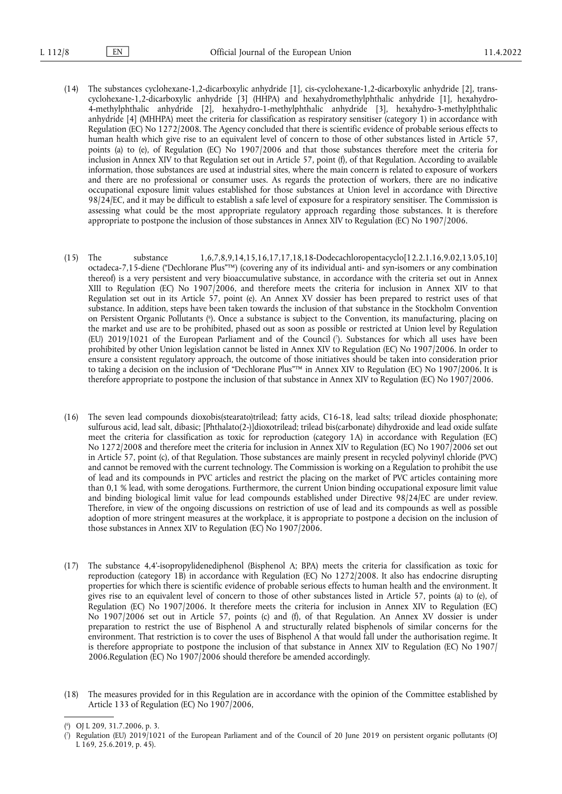- (14) The substances cyclohexane-1,2-dicarboxylic anhydride [1], cis-cyclohexane-1,2-dicarboxylic anhydride [2], transcyclohexane-1,2-dicarboxylic anhydride [3] (HHPA) and hexahydromethylphthalic anhydride [1], hexahydro-4-methylphthalic anhydride [2], hexahydro-1-methylphthalic anhydride [3], hexahydro-3-methylphthalic anhydride [4] (MHHPA) meet the criteria for classification as respiratory sensitiser (category 1) in accordance with Regulation (EC) No 1272/2008. The Agency concluded that there is scientific evidence of probable serious effects to human health which give rise to an equivalent level of concern to those of other substances listed in Article 57, points (a) to (e), of Regulation (EC) No 1907/2006 and that those substances therefore meet the criteria for inclusion in Annex XIV to that Regulation set out in Article 57, point (f), of that Regulation. According to available information, those substances are used at industrial sites, where the main concern is related to exposure of workers and there are no professional or consumer uses. As regards the protection of workers, there are no indicative occupational exposure limit values established for those substances at Union level in accordance with Directive 98/24/EC, and it may be difficult to establish a safe level of exposure for a respiratory sensitiser. The Commission is assessing what could be the most appropriate regulatory approach regarding those substances. It is therefore appropriate to postpone the inclusion of those substances in Annex XIV to Regulation (EC) No 1907/2006.
- <span id="page-2-3"></span><span id="page-2-2"></span>(15) The substance 1,6,7,8,9,14,15,16,17,17,18,18-Dodecachloropentacyclo[12.2.1.16,9.02,13.05,10] octadeca-7,15-diene ("Dechlorane Plus"™) (covering any of its individual anti- and syn-isomers or any combination thereof) is a very persistent and very bioaccumulative substance, in accordance with the criteria set out in Annex XIII to Regulation (EC) No 1907/2006, and therefore meets the criteria for inclusion in Annex XIV to that Regulation set out in its Article 57, point (e). An Annex XV dossier has been prepared to restrict uses of that substance. In addition, steps have been taken towards the inclusion of that substance in the Stockholm Convention on Persistent Organic Pollutants ( 6 [\).](#page-2-0) Once a substance is subject to the Convention, its manufacturing, placing on the market and use are to be prohibited, phased out as soon as possible or restricted at Union level by Regulation (EU) 2019/1021 of the European Parliament and of the Council ( 7 [\).](#page-2-1) Substances for which all uses have been prohibited by other Union legislation cannot be listed in Annex XIV to Regulation (EC) No 1907/2006. In order to ensure a consistent regulatory approach, the outcome of those initiatives should be taken into consideration prior to taking a decision on the inclusion of "Dechlorane Plus"™ in Annex XIV to Regulation (EC) No 1907/2006. It is therefore appropriate to postpone the inclusion of that substance in Annex XIV to Regulation (EC) No 1907/2006.
- (16) The seven lead compounds dioxobis(stearato)trilead; fatty acids, C16-18, lead salts; trilead dioxide phosphonate; sulfurous acid, lead salt, dibasic; [Phthalato(2-)]dioxotrilead; trilead bis(carbonate) dihydroxide and lead oxide sulfate meet the criteria for classification as toxic for reproduction (category 1A) in accordance with Regulation (EC) No 1272/2008 and therefore meet the criteria for inclusion in Annex XIV to Regulation (EC) No 1907/2006 set out in Article 57, point (c), of that Regulation. Those substances are mainly present in recycled polyvinyl chloride (PVC) and cannot be removed with the current technology. The Commission is working on a Regulation to prohibit the use of lead and its compounds in PVC articles and restrict the placing on the market of PVC articles containing more than 0,1 % lead, with some derogations. Furthermore, the current Union binding occupational exposure limit value and binding biological limit value for lead compounds established under Directive 98/24/EC are under review. Therefore, in view of the ongoing discussions on restriction of use of lead and its compounds as well as possible adoption of more stringent measures at the workplace, it is appropriate to postpone a decision on the inclusion of those substances in Annex XIV to Regulation (EC) No 1907/2006.
- (17) The substance 4,4'-isopropylidenediphenol (Bisphenol A; BPA) meets the criteria for classification as toxic for reproduction (category 1B) in accordance with Regulation (EC) No 1272/2008. It also has endocrine disrupting properties for which there is scientific evidence of probable serious effects to human health and the environment. It gives rise to an equivalent level of concern to those of other substances listed in Article 57, points (a) to (e), of Regulation (EC) No 1907/2006. It therefore meets the criteria for inclusion in Annex XIV to Regulation (EC) No 1907/2006 set out in Article 57, points (c) and (f), of that Regulation. An Annex XV dossier is under preparation to restrict the use of Bisphenol A and structurally related bisphenols of similar concerns for the environment. That restriction is to cover the uses of Bisphenol A that would fall under the authorisation regime. It is therefore appropriate to postpone the inclusion of that substance in Annex XIV to Regulation (EC) No 1907/ 2006.Regulation (EC) No 1907/2006 should therefore be amended accordingly.
- (18) The measures provided for in this Regulation are in accordance with the opinion of the Committee established by Article 133 of Regulation (EC) No 1907/2006,

<span id="page-2-0"></span>[<sup>\(</sup>](#page-2-2) 6 ) OJ L 209, 31.7.2006, p. 3.

<span id="page-2-1"></span>[<sup>\(</sup>](#page-2-3) 7 ) Regulation (EU) 2019/1021 of the European Parliament and of the Council of 20 June 2019 on persistent organic pollutants (OJ L 169, 25.6.2019, p. 45).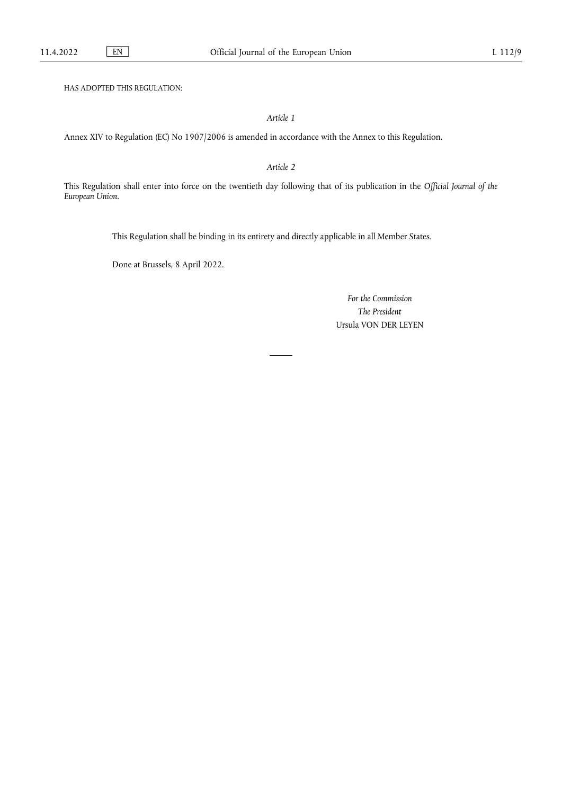HAS ADOPTED THIS REGULATION:

*Article 1*

Annex XIV to Regulation (EC) No 1907/2006 is amended in accordance with the Annex to this Regulation.

*Article 2*

This Regulation shall enter into force on the twentieth day following that of its publication in the *Official Journal of the European Union*.

This Regulation shall be binding in its entirety and directly applicable in all Member States.

Done at Brussels, 8 April 2022.

*For the Commission The President* Ursula VON DER LEYEN